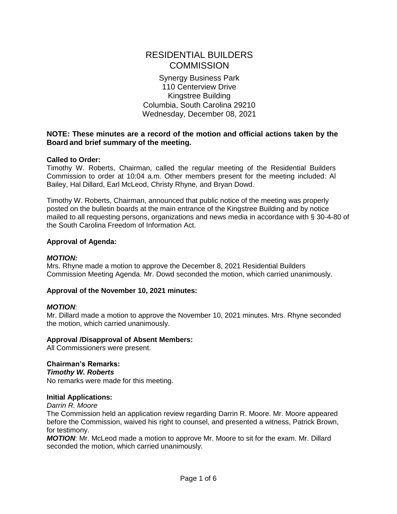# RESIDENTIAL BUILDERS **COMMISSION**

Synergy Business Park 110 Centerview Drive Kingstree Building Columbia, South Carolina 29210 Wednesday, December 08, 2021

## **NOTE: These minutes are a record of the motion and official actions taken by the Board and brief summary of the meeting.**

## **Called to Order:**

Timothy W. Roberts, Chairman, called the regular meeting of the Residential Builders Commission to order at 10:04 a.m. Other members present for the meeting included: Al Bailey, Hal Dillard, Earl McLeod, Christy Rhyne, and Bryan Dowd.

Timothy W. Roberts, Chairman, announced that public notice of the meeting was properly posted on the bulletin boards at the main entrance of the Kingstree Building and by notice mailed to all requesting persons, organizations and news media in accordance with § 30-4-80 of the South Carolina Freedom of Information Act.

## **Approval of Agenda:**

## *MOTION:*

Mrs. Rhyne made a motion to approve the December 8, 2021 Residential Builders Commission Meeting Agenda. Mr. Dowd seconded the motion, which carried unanimously.

## **Approval of the November 10, 2021 minutes:**

## *MOTION*:

Mr. Dillard made a motion to approve the November 10, 2021 minutes. Mrs. Rhyne seconded the motion, which carried unanimously.

## **Approval /Disapproval of Absent Members:**

All Commissioners were present.

# **Chairman's Remarks:**

*Timothy W. Roberts*

No remarks were made for this meeting.

## **Initial Applications:**

*Darrin R. Moore*

The Commission held an application review regarding Darrin R. Moore. Mr. Moore appeared before the Commission, waived his right to counsel, and presented a witness, Patrick Brown, for testimony.

*MOTION*: Mr. McLeod made a motion to approve Mr. Moore to sit for the exam. Mr. Dillard seconded the motion, which carried unanimously.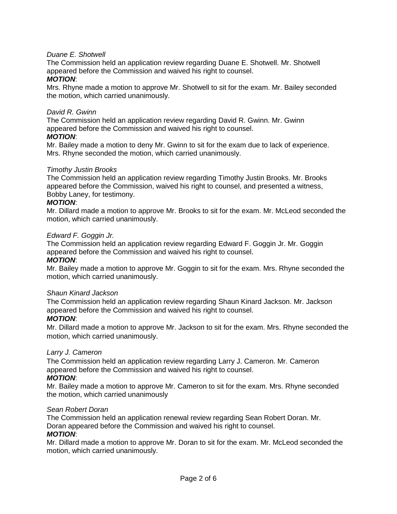# *Duane E. Shotwell*

The Commission held an application review regarding Duane E. Shotwell. Mr. Shotwell appeared before the Commission and waived his right to counsel.

#### *MOTION*:

Mrs. Rhyne made a motion to approve Mr. Shotwell to sit for the exam. Mr. Bailey seconded the motion, which carried unanimously.

## *David R. Gwinn*

The Commission held an application review regarding David R. Gwinn. Mr. Gwinn appeared before the Commission and waived his right to counsel.

#### *MOTION*:

Mr. Bailey made a motion to deny Mr. Gwinn to sit for the exam due to lack of experience. Mrs. Rhyne seconded the motion, which carried unanimously.

#### *Timothy Justin Brooks*

The Commission held an application review regarding Timothy Justin Brooks. Mr. Brooks appeared before the Commission, waived his right to counsel, and presented a witness, Bobby Laney, for testimony.

#### *MOTION*:

Mr. Dillard made a motion to approve Mr. Brooks to sit for the exam. Mr. McLeod seconded the motion, which carried unanimously.

#### *Edward F. Goggin Jr.*

The Commission held an application review regarding Edward F. Goggin Jr. Mr. Goggin appeared before the Commission and waived his right to counsel.

#### *MOTION*:

Mr. Bailey made a motion to approve Mr. Goggin to sit for the exam. Mrs. Rhyne seconded the motion, which carried unanimously.

#### *Shaun Kinard Jackson*

The Commission held an application review regarding Shaun Kinard Jackson. Mr. Jackson appeared before the Commission and waived his right to counsel.

## *MOTION*:

Mr. Dillard made a motion to approve Mr. Jackson to sit for the exam. Mrs. Rhyne seconded the motion, which carried unanimously.

## *Larry J. Cameron*

The Commission held an application review regarding Larry J. Cameron. Mr. Cameron appeared before the Commission and waived his right to counsel.

## *MOTION*:

Mr. Bailey made a motion to approve Mr. Cameron to sit for the exam. Mrs. Rhyne seconded the motion, which carried unanimously

#### *Sean Robert Doran*

The Commission held an application renewal review regarding Sean Robert Doran. Mr. Doran appeared before the Commission and waived his right to counsel.

#### *MOTION*:

Mr. Dillard made a motion to approve Mr. Doran to sit for the exam. Mr. McLeod seconded the motion, which carried unanimously.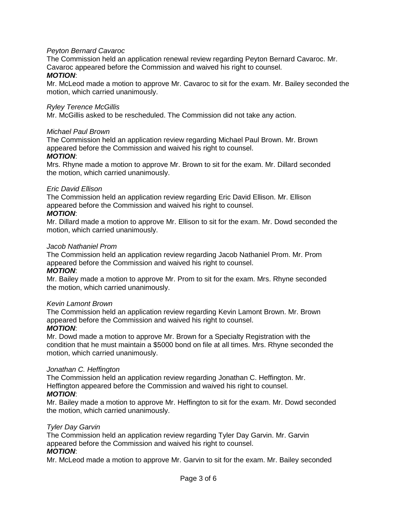## *Peyton Bernard Cavaroc*

The Commission held an application renewal review regarding Peyton Bernard Cavaroc. Mr. Cavaroc appeared before the Commission and waived his right to counsel.

#### *MOTION*:

Mr. McLeod made a motion to approve Mr. Cavaroc to sit for the exam. Mr. Bailey seconded the motion, which carried unanimously.

#### *Ryley Terence McGillis*

Mr. McGillis asked to be rescheduled. The Commission did not take any action.

#### *Michael Paul Brown*

The Commission held an application review regarding Michael Paul Brown. Mr. Brown appeared before the Commission and waived his right to counsel.

#### *MOTION*:

Mrs. Rhyne made a motion to approve Mr. Brown to sit for the exam. Mr. Dillard seconded the motion, which carried unanimously.

#### *Eric David Ellison*

The Commission held an application review regarding Eric David Ellison. Mr. Ellison appeared before the Commission and waived his right to counsel.

#### *MOTION*:

Mr. Dillard made a motion to approve Mr. Ellison to sit for the exam. Mr. Dowd seconded the motion, which carried unanimously.

#### *Jacob Nathaniel Prom*

The Commission held an application review regarding Jacob Nathaniel Prom. Mr. Prom appeared before the Commission and waived his right to counsel.

#### *MOTION*:

Mr. Bailey made a motion to approve Mr. Prom to sit for the exam. Mrs. Rhyne seconded the motion, which carried unanimously.

#### *Kevin Lamont Brown*

The Commission held an application review regarding Kevin Lamont Brown. Mr. Brown appeared before the Commission and waived his right to counsel.

## *MOTION*:

Mr. Dowd made a motion to approve Mr. Brown for a Specialty Registration with the condition that he must maintain a \$5000 bond on file at all times. Mrs. Rhyne seconded the motion, which carried unanimously.

## *Jonathan C. Heffington*

The Commission held an application review regarding Jonathan C. Heffington. Mr. Heffington appeared before the Commission and waived his right to counsel.

## *MOTION*:

Mr. Bailey made a motion to approve Mr. Heffington to sit for the exam. Mr. Dowd seconded the motion, which carried unanimously.

## *Tyler Day Garvin*

The Commission held an application review regarding Tyler Day Garvin. Mr. Garvin appeared before the Commission and waived his right to counsel. *MOTION*:

Mr. McLeod made a motion to approve Mr. Garvin to sit for the exam. Mr. Bailey seconded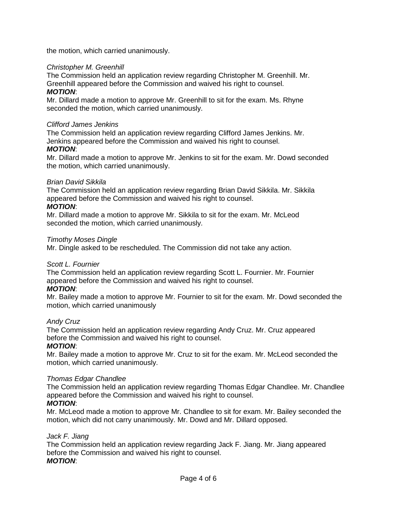the motion, which carried unanimously.

## *Christopher M. Greenhill*

The Commission held an application review regarding Christopher M. Greenhill. Mr. Greenhill appeared before the Commission and waived his right to counsel.

# *MOTION*:

Mr. Dillard made a motion to approve Mr. Greenhill to sit for the exam. Ms. Rhyne seconded the motion, which carried unanimously.

#### *Clifford James Jenkins*

The Commission held an application review regarding Clifford James Jenkins. Mr. Jenkins appeared before the Commission and waived his right to counsel.

## *MOTION*:

Mr. Dillard made a motion to approve Mr. Jenkins to sit for the exam. Mr. Dowd seconded the motion, which carried unanimously.

## *Brian David Sikkila*

The Commission held an application review regarding Brian David Sikkila. Mr. Sikkila appeared before the Commission and waived his right to counsel.

#### *MOTION*:

Mr. Dillard made a motion to approve Mr. Sikkila to sit for the exam. Mr. McLeod seconded the motion, which carried unanimously.

#### *Timothy Moses Dingle*

Mr. Dingle asked to be rescheduled. The Commission did not take any action.

## *Scott L. Fournier*

The Commission held an application review regarding Scott L. Fournier. Mr. Fournier appeared before the Commission and waived his right to counsel. *MOTION*:

Mr. Bailey made a motion to approve Mr. Fournier to sit for the exam. Mr. Dowd seconded the motion, which carried unanimously

## *Andy Cruz*

The Commission held an application review regarding Andy Cruz. Mr. Cruz appeared before the Commission and waived his right to counsel.

## *MOTION*:

Mr. Bailey made a motion to approve Mr. Cruz to sit for the exam. Mr. McLeod seconded the motion, which carried unanimously.

## *Thomas Edgar Chandlee*

The Commission held an application review regarding Thomas Edgar Chandlee. Mr. Chandlee appeared before the Commission and waived his right to counsel.

## *MOTION*:

Mr. McLeod made a motion to approve Mr. Chandlee to sit for exam. Mr. Bailey seconded the motion, which did not carry unanimously. Mr. Dowd and Mr. Dillard opposed.

#### *Jack F. Jiang*

The Commission held an application review regarding Jack F. Jiang. Mr. Jiang appeared before the Commission and waived his right to counsel. *MOTION*: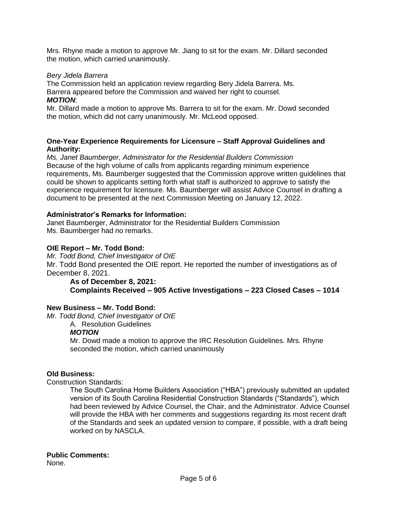Mrs. Rhyne made a motion to approve Mr. Jiang to sit for the exam. Mr. Dillard seconded the motion, which carried unanimously.

#### *Bery Jidela Barrera*

The Commission held an application review regarding Bery Jidela Barrera. Ms. Barrera appeared before the Commission and waived her right to counsel. *MOTION*:

Mr. Dillard made a motion to approve Ms. Barrera to sit for the exam. Mr. Dowd seconded the motion, which did not carry unanimously. Mr. McLeod opposed.

#### **One-Year Experience Requirements for Licensure – Staff Approval Guidelines and Authority:**

*Ms. Janet Baumberger, Administrator for the Residential Builders Commission* Because of the high volume of calls from applicants regarding minimum experience requirements, Ms. Baumberger suggested that the Commission approve written guidelines that could be shown to applicants setting forth what staff is authorized to approve to satisfy the experience requirement for licensure. Ms. Baumberger will assist Advice Counsel in drafting a document to be presented at the next Commission Meeting on January 12, 2022.

#### **Administrator's Remarks for Information:**

Janet Baumberger, Administrator for the Residential Builders Commission Ms. Baumberger had no remarks.

#### **OIE Report – Mr. Todd Bond:**

*Mr. Todd Bond, Chief Investigator of OIE*

Mr. Todd Bond presented the OIE report. He reported the number of investigations as of December 8, 2021.

#### **As of December 8, 2021: Complaints Received – 905 Active Investigations – 223 Closed Cases – 1014**

## **New Business – Mr. Todd Bond:**

*Mr. Todd Bond, Chief Investigator of OIE*

A. Resolution Guidelines

# *MOTION*

Mr. Dowd made a motion to approve the IRC Resolution Guidelines. Mrs. Rhyne seconded the motion, which carried unanimously

#### **Old Business:**

Construction Standards:

The South Carolina Home Builders Association ("HBA") previously submitted an updated version of its South Carolina Residential Construction Standards ("Standards"), which had been reviewed by Advice Counsel, the Chair, and the Administrator. Advice Counsel will provide the HBA with her comments and suggestions regarding its most recent draft of the Standards and seek an updated version to compare, if possible, with a draft being worked on by NASCLA.

## **Public Comments:**

None.